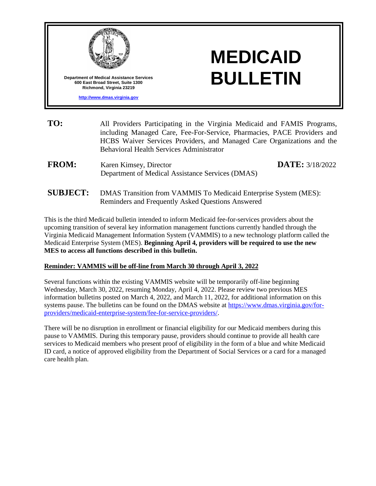

**[http://www.dmas.virginia.gov](http://www.dmas.virginia.gov/)**

## **MEDICAID BULLETIN**

- **TO:** All Providers Participating in the Virginia Medicaid and FAMIS Programs, including Managed Care, Fee-For-Service, Pharmacies, PACE Providers and HCBS Waiver Services Providers, and Managed Care Organizations and the Behavioral Health Services Administrator **FROM:** Karen Kimsey, Director Department of Medical Assistance Services (DMAS) **DATE:** 3/18/2022
- **SUBJECT:** DMAS Transition from VAMMIS To Medicaid Enterprise System (MES): Reminders and Frequently Asked Questions Answered

This is the third Medicaid bulletin intended to inform Medicaid fee-for-services providers about the upcoming transition of several key information management functions currently handled through the Virginia Medicaid Management Information System (VAMMIS) to a new technology platform called the Medicaid Enterprise System (MES). **Beginning April 4, providers will be required to use the new MES to access all functions described in this bulletin.**

## **Reminder: VAMMIS will be off-line from March 30 through April 3, 2022**

Several functions within the existing VAMMIS website will be temporarily off-line beginning Wednesday, March 30, 2022, resuming Monday, April 4, 2022. Please review two previous MES information bulletins posted on March 4, 2022, and March 11, 2022, for additional information on this systems pause. The bulletins can be found on the DMAS website at [https://www.dmas.virginia.gov/for](https://www.dmas.virginia.gov/for-providers/medicaid-enterprise-system/fee-for-service-providers/)[providers/medicaid-enterprise-system/fee-for-service-providers/.](https://www.dmas.virginia.gov/for-providers/medicaid-enterprise-system/fee-for-service-providers/)

There will be no disruption in enrollment or financial eligibility for our Medicaid members during this pause to VAMMIS. During this temporary pause, providers should continue to provide all health care services to Medicaid members who present proof of eligibility in the form of a blue and white Medicaid ID card, a notice of approved eligibility from the Department of Social Services or a card for a managed care health plan.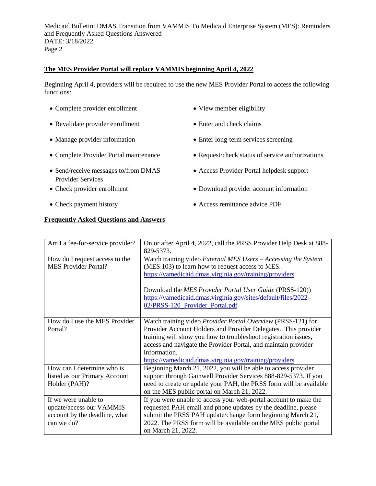## **The MES Provider Portal will replace VAMMIS beginning April 4, 2022**

Beginning April 4, providers will be required to use the new MES Provider Portal to access the following functions:

- Complete provider enrollment View member eligibility
- Revalidate provider enrollment Enter and check claims
- 
- 
- Send/receive messages to/from DMAS Provider Services
- 
- 

## **Frequently Asked Questions and Answers**

- 
- 
- Manage provider information Enter long-term services screening
- Complete Provider Portal maintenance Request/check status of service authorizations
	- Access Provider Portal helpdesk support
- Check provider enrollment Download provider account information
- Check payment history Access remittance advice PDF

| Am I a fee-for-service provider?                                                                | On or after April 4, 2022, call the PRSS Provider Help Desk at 888-<br>829-5373.                                                                                                                                                                                                                                                                     |
|-------------------------------------------------------------------------------------------------|------------------------------------------------------------------------------------------------------------------------------------------------------------------------------------------------------------------------------------------------------------------------------------------------------------------------------------------------------|
| How do I request access to the<br><b>MES Provider Portal?</b>                                   | Watch training video <i>External MES Users – Accessing the System</i><br>(MES 103) to learn how to request access to MES.<br>https://vamedicaid.dmas.virginia.gov/training/providers<br>Download the MES Provider Portal User Guide (PRSS-120))<br>https://vamedicaid.dmas.virginia.gov/sites/default/files/2022-<br>02/PRSS-120_Provider_Portal.pdf |
| How do I use the MES Provider<br>Portal?                                                        | Watch training video Provider Portal Overview (PRSS-121) for<br>Provider Account Holders and Provider Delegates. This provider<br>training will show you how to troubleshoot registration issues,<br>access and navigate the Provider Portal, and maintain provider<br>information.<br>https://vamedicaid.dmas.virginia.gov/training/providers       |
| How can I determine who is<br>listed as our Primary Account<br>Holder (PAH)?                    | Beginning March 21, 2022, you will be able to access provider<br>support through Gainwell Provider Services 888-829-5373. If you<br>need to create or update your PAH, the PRSS form will be available<br>on the MES public portal on March 21, 2022.                                                                                                |
| If we were unable to<br>update/access our VAMMIS<br>account by the deadline, what<br>can we do? | If you were unable to access your web-portal account to make the<br>requested PAH email and phone updates by the deadline, please<br>submit the PRSS PAH update/change form beginning March 21,<br>2022. The PRSS form will be available on the MES public portal<br>on March 21, 2022.                                                              |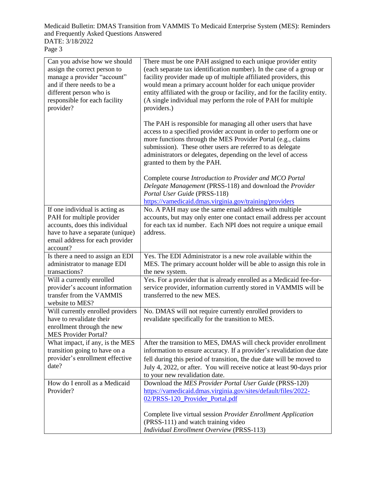| Can you advise how we should<br>assign the correct person to<br>manage a provider "account"<br>and if there needs to be a<br>different person who is<br>responsible for each facility<br>provider? | There must be one PAH assigned to each unique provider entity<br>(each separate tax identification number). In the case of a group or<br>facility provider made up of multiple affiliated providers, this<br>would mean a primary account holder for each unique provider<br>entity affiliated with the group or facility, and for the facility entity.<br>(A single individual may perform the role of PAH for multiple<br>providers.) |
|----------------------------------------------------------------------------------------------------------------------------------------------------------------------------------------------------|-----------------------------------------------------------------------------------------------------------------------------------------------------------------------------------------------------------------------------------------------------------------------------------------------------------------------------------------------------------------------------------------------------------------------------------------|
|                                                                                                                                                                                                    | The PAH is responsible for managing all other users that have<br>access to a specified provider account in order to perform one or<br>more functions through the MES Provider Portal (e.g., claims<br>submission). These other users are referred to as delegate<br>administrators or delegates, depending on the level of access<br>granted to them by the PAH.                                                                        |
|                                                                                                                                                                                                    | Complete course Introduction to Provider and MCO Portal<br>Delegate Management (PRSS-118) and download the Provider<br>Portal User Guide (PRSS-118)<br>https://vamedicaid.dmas.virginia.gov/training/providers                                                                                                                                                                                                                          |
| If one individual is acting as                                                                                                                                                                     | No. A PAH may use the same email address with multiple                                                                                                                                                                                                                                                                                                                                                                                  |
| PAH for multiple provider                                                                                                                                                                          | accounts, but may only enter one contact email address per account                                                                                                                                                                                                                                                                                                                                                                      |
| accounts, does this individual                                                                                                                                                                     | for each tax id number. Each NPI does not require a unique email                                                                                                                                                                                                                                                                                                                                                                        |
| have to have a separate (unique)                                                                                                                                                                   | address.                                                                                                                                                                                                                                                                                                                                                                                                                                |
|                                                                                                                                                                                                    |                                                                                                                                                                                                                                                                                                                                                                                                                                         |
| email address for each provider                                                                                                                                                                    |                                                                                                                                                                                                                                                                                                                                                                                                                                         |
| account?                                                                                                                                                                                           |                                                                                                                                                                                                                                                                                                                                                                                                                                         |
| Is there a need to assign an EDI                                                                                                                                                                   | Yes. The EDI Administrator is a new role available within the                                                                                                                                                                                                                                                                                                                                                                           |
| administrator to manage EDI                                                                                                                                                                        | MES. The primary account holder will be able to assign this role in                                                                                                                                                                                                                                                                                                                                                                     |
| transactions?                                                                                                                                                                                      | the new system.                                                                                                                                                                                                                                                                                                                                                                                                                         |
| Will a currently enrolled                                                                                                                                                                          | Yes. For a provider that is already enrolled as a Medicaid fee-for-                                                                                                                                                                                                                                                                                                                                                                     |
| provider's account information                                                                                                                                                                     | service provider, information currently stored in VAMMIS will be                                                                                                                                                                                                                                                                                                                                                                        |
| transfer from the VAMMIS                                                                                                                                                                           | transferred to the new MES.                                                                                                                                                                                                                                                                                                                                                                                                             |
| website to MES?                                                                                                                                                                                    |                                                                                                                                                                                                                                                                                                                                                                                                                                         |
| Will currently enrolled providers                                                                                                                                                                  | No. DMAS will not require currently enrolled providers to                                                                                                                                                                                                                                                                                                                                                                               |
| have to revalidate their                                                                                                                                                                           | revalidate specifically for the transition to MES.                                                                                                                                                                                                                                                                                                                                                                                      |
| enrollment through the new                                                                                                                                                                         |                                                                                                                                                                                                                                                                                                                                                                                                                                         |
| <b>MES Provider Portal?</b>                                                                                                                                                                        |                                                                                                                                                                                                                                                                                                                                                                                                                                         |
| What impact, if any, is the MES                                                                                                                                                                    | After the transition to MES, DMAS will check provider enrollment                                                                                                                                                                                                                                                                                                                                                                        |
| transition going to have on a                                                                                                                                                                      | information to ensure accuracy. If a provider's revalidation due date                                                                                                                                                                                                                                                                                                                                                                   |
| provider's enrollment effective                                                                                                                                                                    | fell during this period of transition, the due date will be moved to                                                                                                                                                                                                                                                                                                                                                                    |
| date?                                                                                                                                                                                              | July 4, 2022, or after. You will receive notice at least 90-days prior                                                                                                                                                                                                                                                                                                                                                                  |
|                                                                                                                                                                                                    |                                                                                                                                                                                                                                                                                                                                                                                                                                         |
| How do I enroll as a Medicaid                                                                                                                                                                      | to your new revalidation date.<br>Download the MES Provider Portal User Guide (PRSS-120)                                                                                                                                                                                                                                                                                                                                                |
|                                                                                                                                                                                                    |                                                                                                                                                                                                                                                                                                                                                                                                                                         |
| Provider?                                                                                                                                                                                          | https://vamedicaid.dmas.virginia.gov/sites/default/files/2022-<br>02/PRSS-120_Provider_Portal.pdf                                                                                                                                                                                                                                                                                                                                       |
|                                                                                                                                                                                                    | Complete live virtual session Provider Enrollment Application                                                                                                                                                                                                                                                                                                                                                                           |
|                                                                                                                                                                                                    | (PRSS-111) and watch training video                                                                                                                                                                                                                                                                                                                                                                                                     |
|                                                                                                                                                                                                    | <b>Individual Enrollment Overview (PRSS-113)</b>                                                                                                                                                                                                                                                                                                                                                                                        |
|                                                                                                                                                                                                    |                                                                                                                                                                                                                                                                                                                                                                                                                                         |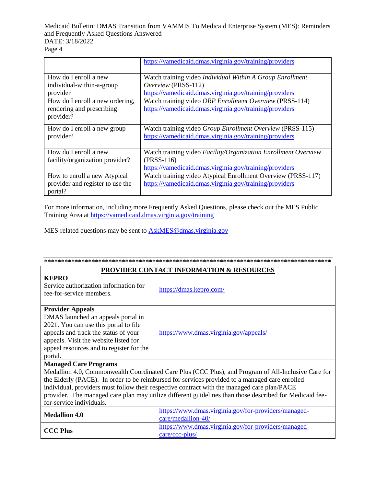|                                  | https://vamedicaid.dmas.virginia.gov/training/providers        |
|----------------------------------|----------------------------------------------------------------|
| How do I enroll a new            | Watch training video Individual Within A Group Enrollment      |
| individual-within-a-group        | Overview (PRSS-112)                                            |
| provider                         | https://vamedicaid.dmas.virginia.gov/training/providers        |
| How do I enroll a new ordering,  | Watch training video ORP Enrollment Overview (PRSS-114)        |
| rendering and prescribing        | https://vamedicaid.dmas.virginia.gov/training/providers        |
| provider?                        |                                                                |
| How do I enroll a new group      | Watch training video Group Enrollment Overview (PRSS-115)      |
| provider?                        | https://vamedicaid.dmas.virginia.gov/training/providers        |
|                                  |                                                                |
| How do I enroll a new            | Watch training video Facility/Organization Enrollment Overview |
| facility/organization provider?  | $(PRSS-116)$                                                   |
|                                  | https://vamedicaid.dmas.virginia.gov/training/providers        |
| How to enroll a new Atypical     | Watch training video Atypical Enrollment Overview (PRSS-117)   |
| provider and register to use the | https://vamedicaid.dmas.virginia.gov/training/providers        |
| portal?                          |                                                                |

For more information, including more Frequently Asked Questions, please check out the MES Public Training Area at<https://vamedicaid.dmas.virginia.gov/training>

MES-related questions may be sent to **AskMES@dmas.virginia.gov** 

| <b>PROVIDER CONTACT INFORMATION &amp; RESOURCES</b>                                                                                                                                                                                                                                                                                                                                                                                                                         |                                                                            |  |  |
|-----------------------------------------------------------------------------------------------------------------------------------------------------------------------------------------------------------------------------------------------------------------------------------------------------------------------------------------------------------------------------------------------------------------------------------------------------------------------------|----------------------------------------------------------------------------|--|--|
| <b>KEPRO</b><br>Service authorization information for<br>fee-for-service members.                                                                                                                                                                                                                                                                                                                                                                                           | https://dmas.kepro.com/                                                    |  |  |
| <b>Provider Appeals</b><br>DMAS launched an appeals portal in<br>2021. You can use this portal to file<br>appeals and track the status of your<br>appeals. Visit the website listed for<br>appeal resources and to register for the<br>portal.                                                                                                                                                                                                                              | https://www.dmas.virginia.gov/appeals/                                     |  |  |
| <b>Managed Care Programs</b><br>Medallion 4.0, Commonwealth Coordinated Care Plus (CCC Plus), and Program of All-Inclusive Care for<br>the Elderly (PACE). In order to be reimbursed for services provided to a managed care enrolled<br>individual, providers must follow their respective contract with the managed care plan/PACE<br>provider. The managed care plan may utilize different guidelines than those described for Medicaid fee-<br>for-service individuals. |                                                                            |  |  |
| <b>Medallion 4.0</b>                                                                                                                                                                                                                                                                                                                                                                                                                                                        | https://www.dmas.virginia.gov/for-providers/managed-<br>care/medallion-40/ |  |  |
| <b>CCC Plus</b>                                                                                                                                                                                                                                                                                                                                                                                                                                                             | https://www.dmas.virginia.gov/for-providers/managed-<br>$care/ccc$ -plus/  |  |  |